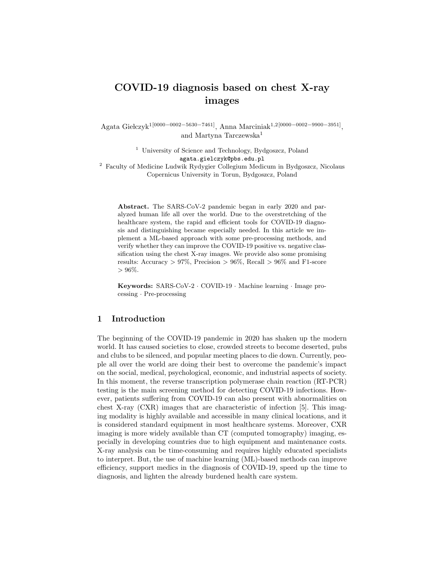# COVID-19 diagnosis based on chest X-ray images

Agata Giełczyk<sup>1[0000–0002–5630–7461]</sup>, Anna Marciniak<sup>1,2[0000–0002–9900–3951]</sup>, and Martyna Tarczewska<sup>1</sup>

> <sup>1</sup> University of Science and Technology, Bydgoszcz, Poland agata.gielczyk@pbs.edu.pl

<sup>2</sup> Faculty of Medicine Ludwik Rydygier Collegium Medicum in Bydgoszcz, Nicolaus Copernicus University in Torun, Bydgoszcz, Poland

Abstract. The SARS-CoV-2 pandemic began in early 2020 and paralyzed human life all over the world. Due to the overstretching of the healthcare system, the rapid and efficient tools for COVID-19 diagnosis and distinguishing became especially needed. In this article we implement a ML-based approach with some pre-processing methods, and verify whether they can improve the COVID-19 positive vs. negative classification using the chest X-ray images. We provide also some promising results: Accuracy  $> 97\%$ , Precision  $> 96\%$ , Recall  $> 96\%$  and F1-score  $> 96\%$ .

Keywords: SARS-CoV-2 · COVID-19 · Machine learning · Image processing · Pre-processing

### 1 Introduction

The beginning of the COVID-19 pandemic in 2020 has shaken up the modern world. It has caused societies to close, crowded streets to become deserted, pubs and clubs to be silenced, and popular meeting places to die down. Currently, people all over the world are doing their best to overcome the pandemic's impact on the social, medical, psychological, economic, and industrial aspects of society. In this moment, the reverse transcription polymerase chain reaction (RT-PCR) testing is the main screening method for detecting COVID-19 infections. However, patients suffering from COVID-19 can also present with abnormalities on chest X-ray (CXR) images that are characteristic of infection [5]. This imaging modality is highly available and accessible in many clinical locations, and it is considered standard equipment in most healthcare systems. Moreover, CXR imaging is more widely available than CT (computed tomography) imaging, especially in developing countries due to high equipment and maintenance costs. X-ray analysis can be time-consuming and requires highly educated specialists to interpret. But, the use of machine learning (ML)-based methods can improve efficiency, support medics in the diagnosis of COVID-19, speed up the time to diagnosis, and lighten the already burdened health care system.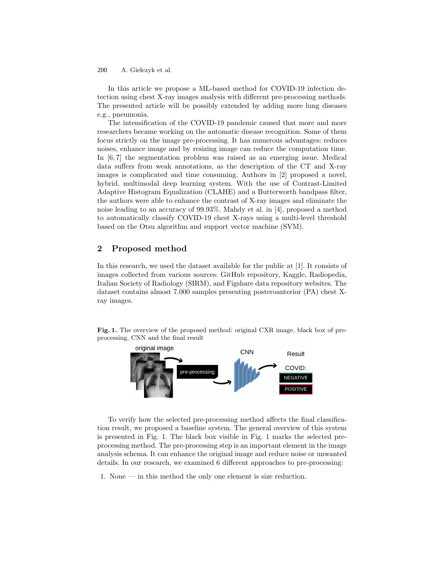A. Giełczyk et al. 200

In this article we propose a ML-based method for COVID-19 infection detection using chest X-ray images analysis with different pre-processing methods. The presented article will be possibly extended by adding more lung diseases e.g., pneumonia.

The intensification of the COVID-19 pandemic caused that more and more researchers became working on the automatic disease recognition. Some of them focus strictly on the image pre-processing. It has numerous advantages: reduces noises, enhance image and by resizing image can reduce the computation time. In [6, 7] the segmentation problem was raised as an emerging issue. Medical data suffers from weak annotations, as the description of the CT and X-ray images is complicated and time consuming. Authors in [2] proposed a novel, hybrid, multimodal deep learning system. With the use of Contrast-Limited Adaptive Histogram Equalization (CLAHE) and a Butterworth bandpass filter, the authors were able to enhance the contrast of X-ray images and eliminate the noise leading to an accuracy of 99.93%. Mahdy et al. in [4], proposed a method to automatically classify COVID-19 chest X-rays using a multi-level threshold based on the Otsu algorithm and support vector machine (SVM).

# 2 Proposed method

In this research, we used the dataset available for the public at [1]. It consists of images collected from various sources: GitHub repository, Kaggle, Radiopedia, Italian Society of Radiology (SIRM), and Figshare data repository websites. The dataset contains almost 7.000 samples presenting posteroanterior (PA) chest Xray images.

Fig. 1. The overview of the proposed method: original CXR image, black box of preprocessing, CNN and the final result



To verify how the selected pre-processing method affects the final classification result, we proposed a baseline system. The general overview of this system is presented in Fig. 1. The black box visible in Fig. 1 marks the selected preprocessing method. The pre-processing step is an important element in the image analysis schema. It can enhance the original image and reduce noise or unwanted details. In our research, we examined 6 different approaches to pre-processing:

1. None — in this method the only one element is size reduction.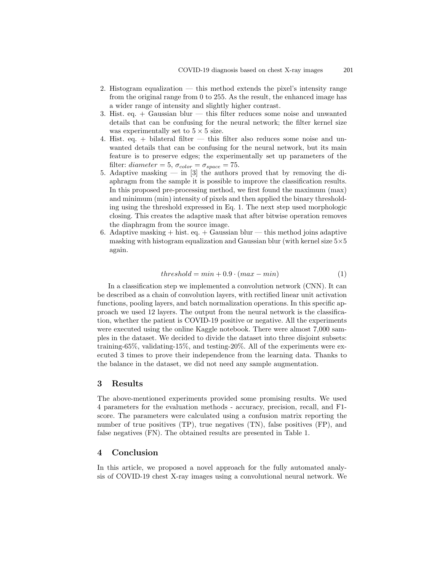- 2. Histogram equalization this method extends the pixel's intensity range from the original range from 0 to 255. As the result, the enhanced image has a wider range of intensity and slightly higher contrast.
- 3. Hist. eq. + Gaussian blur this filter reduces some noise and unwanted details that can be confusing for the neural network; the filter kernel size was experimentally set to  $5 \times 5$  size.
- 4. Hist. eq. + bilateral filter this filter also reduces some noise and unwanted details that can be confusing for the neural network, but its main feature is to preserve edges; the experimentally set up parameters of the filter: diameter = 5,  $\sigma_{color} = \sigma_{space} = 75$ .
- 5. Adaptive masking in [3] the authors proved that by removing the diaphragm from the sample it is possible to improve the classification results. In this proposed pre-processing method, we first found the maximum (max) and minimum (min) intensity of pixels and then applied the binary thresholding using the threshold expressed in Eq. 1. The next step used morphologic closing. This creates the adaptive mask that after bitwise operation removes the diaphragm from the source image.
- 6. Adaptive masking  $+$  hist. eq.  $+$  Gaussian blur this method joins adaptive masking with histogram equalization and Gaussian blur (with kernel size  $5\times5$ again.

$$
threshold = min + 0.9 \cdot (max - min)
$$
\n<sup>(1)</sup>

In a classification step we implemented a convolution network (CNN). It can be described as a chain of convolution layers, with rectified linear unit activation functions, pooling layers, and batch normalization operations. In this specific approach we used 12 layers. The output from the neural network is the classification, whether the patient is COVID-19 positive or negative. All the experiments were executed using the online Kaggle notebook. There were almost 7,000 samples in the dataset. We decided to divide the dataset into three disjoint subsets: training-65%, validating-15%, and testing-20%. All of the experiments were executed 3 times to prove their independence from the learning data. Thanks to the balance in the dataset, we did not need any sample augmentation.

#### 3 Results

The above-mentioned experiments provided some promising results. We used 4 parameters for the evaluation methods - accuracy, precision, recall, and F1 score. The parameters were calculated using a confusion matrix reporting the number of true positives (TP), true negatives (TN), false positives (FP), and false negatives (FN). The obtained results are presented in Table 1.

# 4 Conclusion

In this article, we proposed a novel approach for the fully automated analysis of COVID-19 chest X-ray images using a convolutional neural network. We